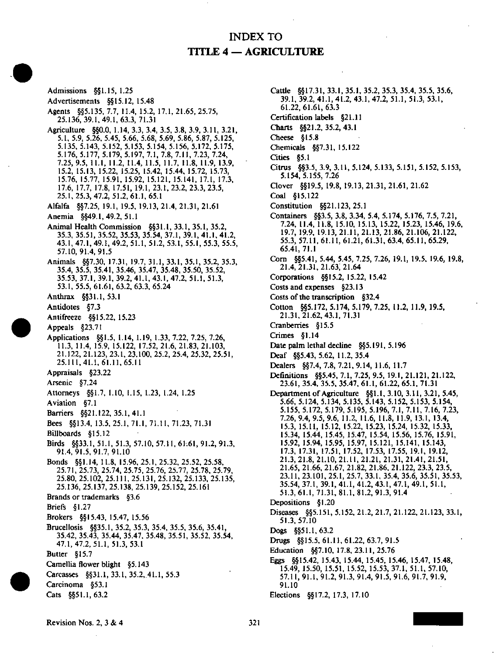## INDEX TO TITLE 4 — AGRICULTURE

Admissions §§1.15, 1.25 Advertisements §§15.12, 15.48 Agents §§5.135, 7.7, 11.4, 15.2, 17.1,21.65, 25.75, 25.136,39.1,49.1,63.3,71.31 Agriculture §§0.0, 1.14, 3.3, 3.4, 3.5. 3.8, 3.9, 3.11, 3.21, 5.1, 5.9, 5.26. 5.45, 5.66, 5.68, 5.69, 5.86, 5.87, 5.125, 5.135, 5.143, 5.152, 5.153, 5.154, 5.156, 5.172, 5.175, 5.176, 5.177, 5.179, 5.197, 7.1. 7.8, 7.11, 7.23, 7.24, 7.25,9.5, 11.1, 11.2, 11.4, 11.5, 11.7. 11.8, 11.9, 13.9, 15.2, 15.13, 15.22, 15.25, 15.42, 15.44, 15.72, 15.73, 15.76, 15.77, 15.91, 15.92, 15.121, 15.141, 17.1, 17.3, 17.6, 17.7, 17.8, 17.51, 19.1, 23.1, 23.2, 23.3, 23.5, 25.1,25.3,47.2,51.2.61.1,65.1 Alfalfa §§7.25, 19.1, 19.5. 19.13, 21.4, 21.31, 21.61 Anemia §§49.1,49.2,51.1 Animal Health Commission §§31.1, 33.1, 35.1, 35.2, 35.3, 35.51, 35.52, 35.53, 35.54, 37.1, 39.1, 41.1, 41.2, 43.1, 47.1, 49.1, 49.2, 51.1, 51.2, 53.1, 55.1, 55.3. 55.5, 57.10,91.4,91.5 Animals §§7.30. 17.31, 19.7, 31.1, 33.1, 35.1, 35.2, 35.3, 35.4, 35.5, 35.41, 35.46, 35.47, 35.48, 35.50, 35.52, 35.53, 37.1, 39.1, 39.2, 41.1, 43.1, 47.2, 51.1, 51.3, 53.1, 55.5, 61.61, 63.2, 63.3, 65.24 Anthrax §§31.1,53.1 Antidotes §7.3 Antifreeze §§15.22,15.23 Appeals §23.71 Applications §§1.5, 1.14, 1.19, 1.33, 7.22, 7.25, 7.26, 11.3, 11.4, 15.9, 15.122, 17.52,21.6,21.83,21.103, 21.122, 21.123, 23.1, 23.100, 25.2, 25.4, 25.32, 25.51, 25.111,41.1,61.11,65.11 Appraisals §23.22 Arsenic §7.24 Attorneys §§1.7, 1.10, 1.15, 1.23, 1.24, 1.25 Aviation §7.1 Barriers §§21.122,35.1,41.1 Bees §§13.4. 13.5,25.1,71.1,71.11,71.23,71.31 BUlboards §15.12 Birels §§33.1, 51.1. 51.3, 57.10, 57.11, 61.61, 91.2, 91.3, 91.4,91.5,91.7,91.10 Bonds §§1.14,11.8, 15.96,25.1.25.32,25.52,25.58, 25.71, 25.73, 25.74, 25.75, 25.76, 25.77. 25.78, 25.79, 25.80, 25.102, 25.111, 25.131, 25.132, 25.133, 25.135, 25.136, 25.137, 25.138, 25.139, 25.152, 25.161 Brands or trademarks §3.6 Briefs §1.27 Brokers §§15.43, 15.47, 15.56 Brucellosis §§35.1, 35.2, 35.3, 35.4, 35.5. 35.6, 35.41, 35.42, 35.43, 35.44, 35.47. 35.48, 35.51, 35.52, 35.54, 47.1,47.2,51.1, 51.3,53.1 Butter §15.7 Camellia flower blight §5.143 Carcasses §§31.1, 33.1, 35.2,41.1, 55.3 Carcinoma §53.1 Cats §§51.1,63.2

Cattle §§17.31, 33.1, 35.1, 35.2, 35.3, 35.4, 35.5, 35.6, 39.1, 39.2, 41.1, 41.2, 43.1, 47.2, 51.1, 51.3, 53.1, 61.22,61.61,63.3 Certification labels §2L11 Charts §§21.2,35.2,43.1 Cheese §15.8 Chemicals §§7.31, 15.122 Cities §5.1 Citrus §§3.5, 3.9, 3.11, 5.124, 5.133, 5.151, 5.152, 5.153, 5.154,5.155,7.26 Clover §§19.5, 19.8, 19.13, 21.31, 21.61, 21.62 Coal §15.122 Constitution §§21.123, 25.1 Containers §§3.5, 3.8, 3.34. 5.4, 5.174, 5.176. 7.5, 7.21, 7.24, 11.4, 11.8, 15.10, 15.13, 15.22, 15.23, 15.46, 19.6, 19.7, 19.9, 19.13, 21.11, 21.13, 21.86, 21.106, 21.122, 55.3, 57.11, 61.11, 61.21, 61.31, 63.4, 65.11, 65.29, 65.41,71.1 Com §§5.41, 5.44, 5.45, 7.25, 7.26, 19.1, 19.5, 19.6, 19.8, 21.4,21.31,21.63:21.64 Corporations §§15.2, 15.22, 15.42 Costs and expenses §23.13 Costs of the transcription §32.4 Cotton §§5.172, 5.174, 5.179, 7.25, 11.2, 11.9, 19.5. 21,31,21.62,43.1,71.31 Cranberries §15.5 Crimes §1.14 Date palm lethal decline §§5.191, 5.196 Deaf §§5.43, 5.62, 11.2, 35.4 Dealers §§7.4, 7.8, 7.21, 9.14, 11.6, 11.7 Definitions §§5.45, 7.1, 7.25, 9.5, 19.1. 21.121, 21.122, 23.61, 35.4, 35.5, 35.47, 61.1, 61.22, 65.1, 71.31 Department of Agriculture §§1.1, 3.10, 3.11, 3.21, 5.45, 5.66, 5.124, 5.134, 5.135, 5.143, 5.152, 5.153, 5.154, 5.155, 5.172, 5.179, 5.195, 5.196, 7.1, 7.11, 7.16, 7.23, 7.26,9.4,9.5,9.6, 11.2, 11.6, 11.8, 11.9, 13.1, 13.4, 15.3, 15.11, 15.12, 15.22, 15.23, 15.24, 15.32, 15.33, 15.34, 15.44, 15.45, 15.47, 15.54, 15.56, 15.76, 15.91, 15.92, 15.94, 15.95, 15.97, 15.121, 15.141, 15.143, 17.3, 17.31, 17.51, 17.52, 17.53, 17.55, 19.1, 19.12, 21.3, 21.8, 21.10, 21.11, 21.21, 21.31, 21.41, 21.51, 21.65, 21.66, 21.67, 21.82, 21.86, 21.122, 23.3, 23.5, 23.11, 23.101, 25.1, 25.7, 33.1, 35.4, 35.6, 35.51, 35.53, 35.54, 37.1, 39.1, 41.1, 41.2, 43.1, 47.1, 49.1. 51.1, 51.3, 61.1, 71.31, 81.1. 81.2, 91.3, 91.4 Depositions §1.20 Diseases §§5.151, 5.152, 21.2, 21.7, 21.122, 21.123, 33.1, 51.3,57.10 Dogs §§51.1,63.2 Drugs §§15.5,61.11,61.22,63.7,91.5 Education §§7.10, 17.8, 23.11, 25.76 Eggs §§15.42, 15.43. 15.44, 15.45, 15.46, 15.47. 15.48, 15.49, 15.50, 15.51. 15.52, 15.53, 37.1, 51.1, 57.10, 57.11, 91.1, 91.2, 91.3, 91.4, 91.5, 91.6, 91.7, 91.9, 91.10

Elections §§17.2, 17.3, 17.10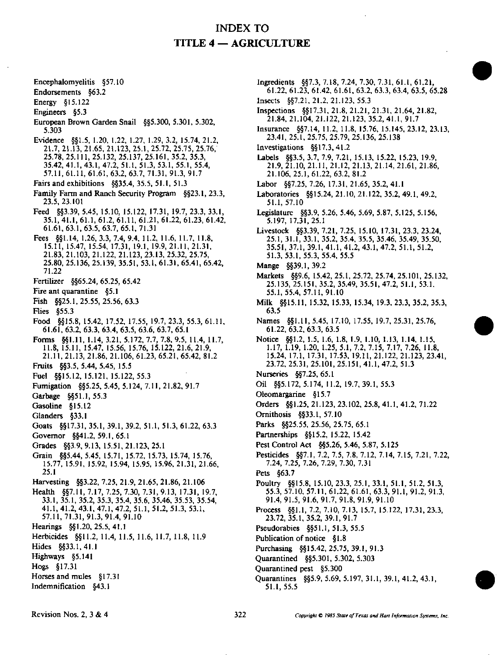Encephalomyelitis §57.10

Endorsements §63.2

Energy §15.122

Engineers §5.3

- European Brown Garden Snail §§5.300. 5.301. 5.302, 5.303
- Evidence §§1.5. 1.20. 1.22, 1.27, 1.29, 3.2, 15.74, 21.2, 21.7, 21.13, 21.65. 21.123, 25.1, 25.72, 25.75, 25.76, 25.78. 25.111, 25.132, 25.137, 25.161, 35.2, 35.3, 35.42. 41.1. 43.1, 47.2, 51.1, 51.3, 53.1, 55.1, 55.4, 57.11, 61.11, 61.61, 63.2, 63.7, 71.31, 91.3, 91.7
- Fairs and exhibitions §§35.4,35.5, 51.1, 51.3
- Family Farm and Ranch Security Program §§23.1, 23.3, 23.5,23.101
- Feed §§3.39, 5.45, 15.10, 15.122, 17.31, 19.7, 23.3. 33.1, 35.1. 41.1, 61.1. 61.2, 61.11, 61.21, 61.22, 61.23, 61.42, 61.61, 63.1, 63.5, 63.7, 65.1, 71.31
- Fees §§1.14, 1.26,3.3,7.4,9.4, 11.2, 11.6, 11.7, 11.8. 15.11, 15.47, 15.54, 17.31, 19.1, 19.9,21.11,21.31. 21.83, 21.103, 21.122, 21.123, 23.13, 25.32, 25.75, 25.80. 25.136, 25.139, 35.51, 53.1, 61.31, 65.41, 65.42, 71.22
- $F = 61.111251$   $8905.24, 05.25, 05.42$
- Fire ant quarantine §5.1
- Fish §§25.1,25.55,25.56,63.3
- Hies §55.3
- Food §§15.8, 15.42, 17,52, 17.55, 19.7,23.3,55.3,61.11,
- Forms §§1.11, 1.14, 3.21, 5.172, 7.7, 7.8, 9.5, 11.4, 11.7, 11.8, 15.11, 15.47, 15.56, 15.76, 15.122, 21.6, 21.9, 11.8, 15.11, 15.17, 15.56, 15.10, 15.122, 21.6, 21.5, 1<br>21.11.21.13.21.86. 21.106.61.23.65.21.65.42.81. 21.11, 21.13, 21.86, 21.106, 61.23, 65.21, 65.42, 81.2
- Fruits §§3.5,5.44,5.45,15.5
- Fuel §§15.12, 15.121, 15.122, 55.3<br>Fuel site = 800.30 5.16.6.10+ 3.1
- Fumigation §§5.25, 5.45, 5.124, 7.11, 21.82, 91.7
- Garbage §§51.1,55.3
- Gasoline §15.12
- Glanders §33.1
- Goats §§17.31, 35.1, 39.1, 39.2, 51.1, 51.3, 61.22, 63.3
- Governor §§41.2,59.1,65.1
- 
- Grades §§3.9, 9.13, 15.51, 21.123, 25.1<br>Grain §§5.44, 5.45, 15.71, 15.72, 15.73, 15.74, 15.76, Grain §§5.44, 5.45. 15.71, 15.72. 15.73. 15.74, 15.76, 15.77, 15.91, 15.92, 15.94, 15.95, 15.96, 21.31, 21.66, 25.1<br>Harvesting §§3.22, 7.25, 21.9, 21.65, 21.86, 21.106
- 
- Health §§7.11, 7.17, 7.25, 7.30, 7.31, 9.13, 17.31, 19.7, 33.1, 35.1, 35.2, 35.3, 35.4, 35.6, 35.46, 35.53, 35.54, 41.1, 41.2, 43.1, 47.1, 47.2, 51.1, 51.2, 51.3, 53.1, 41.1, 41.2, 43.1. 47.1, 47.2, 51.1, 51.2, 51.3, 53.1, 57.11,71.31,91.3,91.4,91.10
- Hearings §§1.20,25.5,41.1
- Herbicides §§11.2, 11.4, 11.5, 11.6, 11.7, 11.8, 11.9
- Hides §§33.1, 41.1
- Highways §5.141
- Hogs §17.31
- Horses and mules §17.31
- Indemnification §43.1
- Ingredients §§7.3, 7.18, 7.24, 7.30, 7.31, 61.1, 61.21, 61.22, 61.23, 61.42, 61.61, 63.2, 63.3, 63.4, 63.5, 65.28
- Insects §§7.21.21.2.21.123,55.3
- Inspections §§17.31, 21.8, 21.21, 21.31, 21.64, 21.82, 21.84, 21.104. 21.122, 21.123, 35.2, 41.1, 91.7
- Insurance §§7.14, 11.2, 11.8, 15.76, 15.145,23.12, 23.13, 23.41, 25.1. 25.75, 25.79, 25.136, 25.138
- Investigations §§17.3, 41.2
- Labels §§3.5, 3.7, 7.9, 7.21, 15.13, 15.22, 15.23, 19.9, 21.9, 21.10, 21.11, 21.12, 21.13, 21.14, 21.61, 21.86, 21.106,25.1,61.22,63.2,81.2
- Labor §§7.25, 7.26, 17.31, 21.65, 35.2, 41.1
- Laboratories §§15.24, 21.10, 21.122, 35.2, 49.1, 49.2, 51.1, 57.10 51.1, 57.10<br>Jelanica – M
- $\frac{1}{5}$  107 17 31 25.1 5.197, 17.31, 25.1<br>Livestock §§3.39, 7.21, 7.25, 15.10, 17.31, 23.3, 23.24,
- 25.1, 31.1, 33.1, 35.2, 35.4, 35.5, 35.46, 35.49, 35.50, 25.1, 31.1, 33.1, 35.2, 35.4, 35.5, 35.46, 35.49, 35.50, 35.51, 37.1, 39.1, 41.1, 41.2, 43.1, 47.2, 51.1, 51.2, 51.3,53.1,55.3,55.4,55.5
- Mange §§39.1,39.2

Markets §§9.6, 15.42, 25.1, 25.72, 25.74, 25.101, 25.132, 25.135, 25.151, 35.2, 35.49, 35.51, 47.2, 51.1, 53.1, 55.1, 55.4, 57.11,91.10

- Milk §§15.11, 15.32, 15.33, 15.34, 19.3. 23.3, 35.2, 35.3, 63.5
- Names §§1.11, 5.45, 17.10, 17.55, 19.7, 25.31. 25.76, 61.22,63.2,63.3,63.5
- Notice §§1.2, 1.5, 1.6, 1.8, 1.9, 1.10, 1.13, 1.14, 1.15, 1.17, 1.19, 1.20, 1.25, 5.1, 7.2, 7.15, 7.17, 7.26, 11.8, 15.24, 17.1, 17.31, 17.53, 19.11,21.122,21.123,23.41, 23.72, 25.31, 25.101, 25.151, 41.1, 47.2, 51.3
- Nurseries §§7.25,65.1
- Oil §§5.172, 5.174, 11.2, 19.7, 39.1, 55.3
- Oleomargarine §15.7
- Orders §§1.25, 21.123, 23.102, 25.8, 41.1. 41.2, 71.22
- Ornithosis §§33.1,57.10
- Parks §§25.55,25.56,25.75,65.1
- Partnerships §§15.2, 15.22, 15.42
- Pest Control Act §§5.26, 5.46, 5.87, 5.125
- Pesticides §§7.1, 7.2, 7.5, 7.8. 7.12, 7.14, 7.15, 7.21. 7.22, 7.24, 7.25, 7.26, 7.29, 7.30, 7.31
- Pets §63.7
- Poultry §§15.8, 15.10, 23.3, 25.1, 33.1, 51.1, 51.2, 51.3, 55.3, 57.10, 57.11, 61.22, 61.61, 63.3, 91.1, 91.2, 91.3, 91.4, 91.5, 91.6, 91.7, 91.8, 91.9, 91.10
- Process §§1.1. 7.2, 7.10, 7.13. 15.7, 15.122, 17.31, 23.3, 23.72,35.1,35.2,39.1,91.7
- Pseudorabies §§51.1, 51.3, 55.5
- Publication of notice §1.8
- Purchasing §§15.42,25.75,39.1,91.3
- Quarantined §§5.301, 5.302, 5.303
- Quarantined pesl §5.300
- Quarantines §§5.9. 5.69, 5.197, 31.1, 39.1, 41.2, 43.1, 51.1,55.5

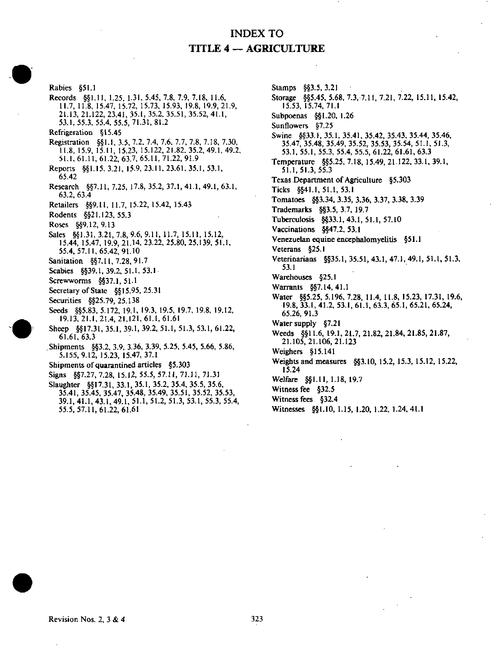## INDEX TO TITLE 4 — AGRICULTURE

Rabies §51.1 Records §§1.11, 1.25, 1.31, 5.45, 7.8, 7.9, 7.18, 11.6, 11.7, 11.8, 15.47, 15.72, 15.73, 15.93, 19.8, 19.9,21.9. 21.13, 21.122, 23.41, 35.1, 35.2. 35.51. 35.52, 41.1, 53.1,55.3.55.4.55.5,71.31,81.2 Refrigeration § 15.45 Registration §§1.I, 3.5, 7.2. 7.4, 7.6, 7.7, 7.8. 7.18, 7.30, 11.8, 15.9, 15.11, 15.23, 15.122,21.82.35.2,49.1.49.2, 51.1. 61.11, 61.22, 63.7, 65.11, 71.22, 91.9 Reports §§1.15, 3.21, 15.9, 23.11, 23.61, 35.1, 53.1, 65.42 05.42<br>..... Research  $§§7.11,7.25, 17.0, 35.2, 37.1, 41.1, 49.1, 63.1, 63.1, 63.1, 63.1, 63.1, 63.1, 63.1, 63.1, 63.1, 63.1, 63.1, 63.1, 63.1, 63.1, 63.1, 63.1, 63.1, 63.1, 63.1, 63.1, 63.1, 63.1, 63.1, 63.1, 63.1, 63.1, 63.1, 63.1,$ 63.2, 63.4<br>Retailers §§9.11, 11.7, 15.22, 15.42, 15.43 Rodents §§21.123, 55.3 Roses §§9.12, 9.13 Sales §§1.31, 3.21, 7.8, 9.6, 9.11, 11.7, 15.11, 15.12, 15.44, 15.47, 19.9, 21.14, 23.22, 25.80, 25.139, 51.1, 55.4, 57.11, 65.42, 91.10 Sanitation §§7.11, 7.28, 91.7 Scabies §§39.1, 39.2, 51.1, 53.1 Screwworms §§37.1, 51.1 Secretary of State  $§$ §15.95, 25.31 Securities §§25.79, 25.138 securities §§25.79,25.138<br>Seeds 885.93 5.179-10.1 Seeds §§5.83, 3.172, 19.1, 19.3, 19.3, 19.7, 19.6, 19.12, 19.12, 19.12, 19.12, 19.12, 19.12, 19.12, 1 19.13,21.1,21.4,21.121,61.1,61.61 Sheep §§17.31, 35.1, 39.1, 39.2, 51.1, 51.3, 53.1, 61.22, 61.61.63.3 Shipments §§3.2, 3.9, 3.36, 3.39, 5.25, 5.45, 5.66, 5.86, 5.155, 9.12, 15.23, 15.47, 37.1 Shipments of quarantined articles §5.303 Signs §§7.27, 7.28, 15.12, 55.5, 57.11, 71.11, 71.31 Slaughter §§17.31, 33.1, 35.1, 35.2, 35.4, 35.5, 35.6, SIAUGHTER §§17.31, 33.1, 35.1, 35.2, 35.4, 35.5, 35.6, 35.6, 35.6, 35.6, 35.6, 35.6, 35.6, 35.6, 35. 35.41, 35.45, 35.47, 35.48, 35.49, 35.51, 35.52, 35.53, 39.1, 41.1, 43.1, 49.1, 51.1, 51.2, 51.3, 53.1, 55.3. 55.4,

Stamps §§3.5, 3.21 Storage §§5,45, 5.68. 7.3, 7,11, 7.21, 7.22, 15.11, 15.42, 15.53, 15.74,71.1 Subpoenas §§1.20, 1.26 Sunflowers §7.25 Swine §§33.1, 35.1, 35.41, 35.42. 35.43, 35.44, 35.46, 35.47, 35.48, 35.49, 35.52. 35.53, 35.54, 51.1, 51.3, 53.1, 55.1, 55.3, 55.4, 55.5. 61.22, 61.61, 63.3 Temperature §§5.25, 7.18, 15.49, 21.122, 33.1, 39.1, 51.1,51.3,55.3 Texas Department of Agriculture §5.303 Ticks §§41.1,51.1,53.1<br>Ticks §§41.1,53.1 Tomatoes  $^{8}$ 3.34, 3.39, 3.30, 3.37, 3.30, 3.37<br>The demonds  $^{8}$ 88.6, 3.4, 30.3 Trademarks §§3.5,3.7,19.7 Tuberculosis §§33.1, 43.1, 51.1, 57.10 Vaccinations §§47,2, 53.1 Venezuelan equine encephalomyelitis §51.1 Veterans §25.1 Veterinarians §§35.1, 35.51,43.1, 47.1, 49.1, 51.1, 51.3, 53.1<br>Warehouses §25.1 Warrants  $§$ §7.14, 41.1 Water §§5.25, 5.196, 7.28, 11.4, 11.8, 15.23, 17.31, 19.6,  $\frac{1}{19.8}$ , 33.1, 41.2, 53.1, 61.1, 63.3, 65.1, 65.21, 65.24,  $19.3$ ,  $1.3$ Water supply §7.21 Weeds §§11.6, 19.1, 21.7, 21.82, 21.84, 21.85, 21.87, 21.105, 21.106, 21.123 Weighers §15.141 Weights and measures §§3.10, 15.2, 15.3, 15.12, 15.22,  $15.24$ Welfare §§1.11, 1.18, 19.7 Witness fee §32.5 Witness fees §32.4 Witnesses §§1.10, 1.15, 1.20, 1.22, 1.24, 41.1

55.5,57.11,61.22,61.61